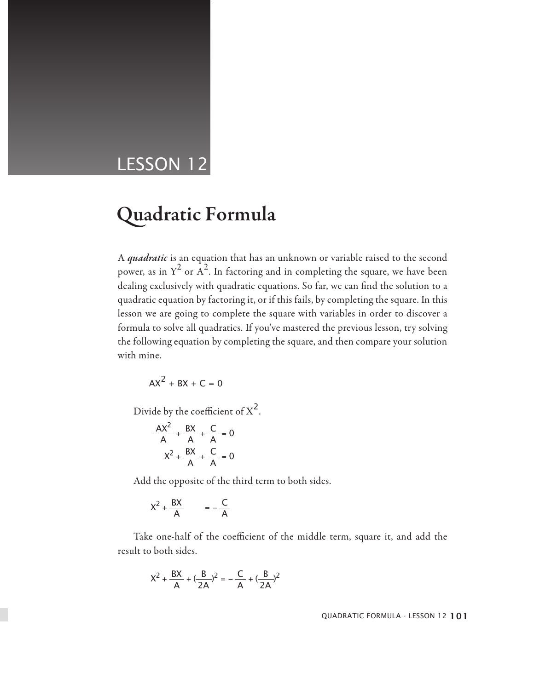## LESSON 12

# Quadratic Formula

A *quadratic* is an equation that has an unknown or variable raised to the second power, as in  $Y^2$  or  $A^2$ . In factoring and in completing the square, we have been dealing exclusively with quadratic equations. So far, we can find the solution to a quadratic equation by factoring it, or if this fails, by completing the square. In this lesson we are going to complete the square with variables in order to discover a formula to solve all quadratics. If you've mastered the previous lesson, try solving the following equation by completing the square, and then compare your solution with mine.

$$
AX^2 + BX + C = 0
$$

Divide by the coefficient of  $X^2$ .

$$
\frac{AX^2}{A} + \frac{BX}{A} + \frac{C}{A} = 0
$$

$$
X^2 + \frac{BX}{A} + \frac{C}{A} = 0
$$

Add the opposite of the third term to both sides.

$$
X^2 + \frac{BX}{A} = -\frac{C}{A}
$$

Take one-half of the coefficient of the middle term, square it, and add the result to both sides.

$$
X^{2} + \frac{BX}{A} + (\frac{B}{2A})^{2} = -\frac{C}{A} + (\frac{B}{2A})^{2}
$$

QUADRATIC FORMULA - LESSON 12 101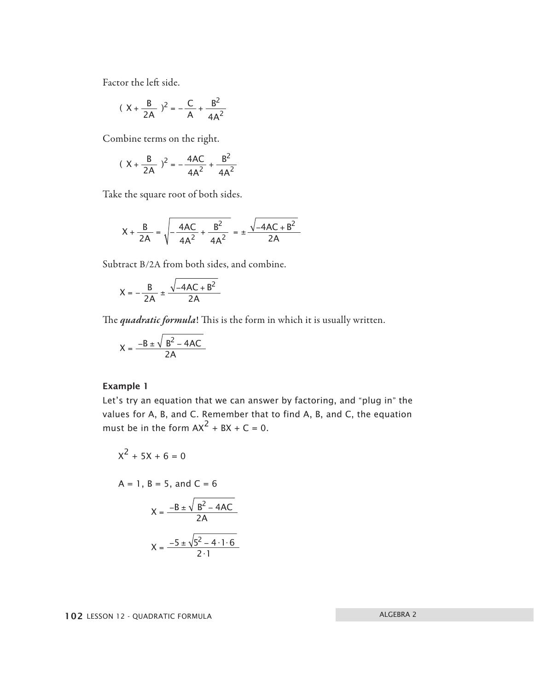Factor the left side.

$$
(X + \frac{B}{2A})^2 = -\frac{C}{A} + \frac{B^2}{4A^2}
$$

Combine terms on the right.

$$
(\ X + \frac{B}{2A})^2 = -\frac{4AC}{4A^2} + \frac{B^2}{4A^2}
$$

Take the square root of both sides.

$$
X + \frac{B}{2A} = \sqrt{-\frac{4AC}{4A^2} + \frac{B^2}{4A^2}} = \pm \frac{\sqrt{-4AC + B^2}}{2A}
$$

Subtract B/2A from both sides, and combine.

$$
X = -\frac{B}{2A} \pm \frac{\sqrt{-4AC + B^2}}{2A}
$$

The *quadratic formula*! This is the form in which it is usually written.

$$
X = \frac{-B \pm \sqrt{B^2 - 4AC}}{2A}
$$

#### Example 1

Let's try an equation that we can answer by factoring, and "plug in" the values for A, B, and C. Remember that to find A, B, and C, the equation must be in the form  $AX^2 + BX + C = 0$ .

$$
x^2 + 5x + 6 = 0
$$

$$
A = 1
$$
,  $B = 5$ , and  $C = 6$ 

$$
X = \frac{-B \pm \sqrt{B^{2} - 4AC}}{2A}
$$

$$
X = \frac{-5 \pm \sqrt{5^{2} - 4 \cdot 1 \cdot 6}}{2 \cdot 1}
$$

102 LESSON 12 - QUADRATIC FORMULA ALGEBRA 2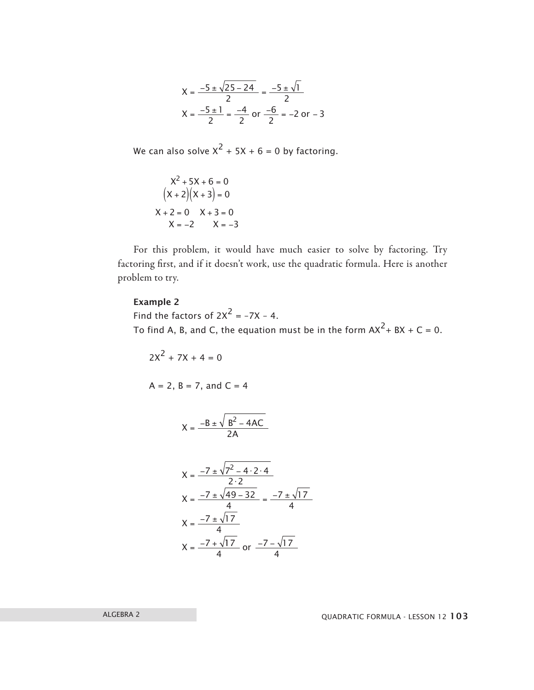$$
X = \frac{-5 \pm \sqrt{25 - 24}}{2} = \frac{-5 \pm \sqrt{1}}{2}
$$
  

$$
X = \frac{-5 \pm 1}{2} = \frac{-4}{2} \text{ or } \frac{-6}{2} = -2 \text{ or } -3
$$

We can also solve  $X^2 + 5X + 6 = 0$  by factoring.

$$
X2 + 5X + 6 = 0
$$
  
(X + 2)(X + 3) = 0  
X + 2 = 0 X + 3 = 0  
X = -2 X = -3

For this problem, it would have much easier to solve by factoring. Try factoring first, and if it doesn't work, use the quadratic formula. Here is another problem to try.

#### Example 2

Find the factors of  $2X^2 = -7X - 4$ . To find A, B, and C, the equation must be in the form  $AX^2 + BX + C = 0$ .

 $7 - \sqrt{17}$ 

or  $\frac{-7 - x}{4}$ 

$$
2X^{2} + 7X + 4 = 0
$$
  
\nA = 2, B = 7, and C = 4  
\n
$$
X = \frac{-B \pm \sqrt{B^{2} - 4AC}}{2A}
$$
  
\n
$$
X = \frac{-7 \pm \sqrt{7^{2} - 4 \cdot 2 \cdot 4}}{2 \cdot 2}
$$
  
\n
$$
X = \frac{-7 \pm \sqrt{49 - 32}}{4} = \frac{-7 \pm \sqrt{17}}{4}
$$
  
\n
$$
X = \frac{-7 \pm \sqrt{17}}{4}
$$

 $X = \frac{-7 + }{1}$ 

 $7 + \sqrt{17}$ 

4

ALGEBRA 2 QUADRATIC FORMULA - LESSON 12 103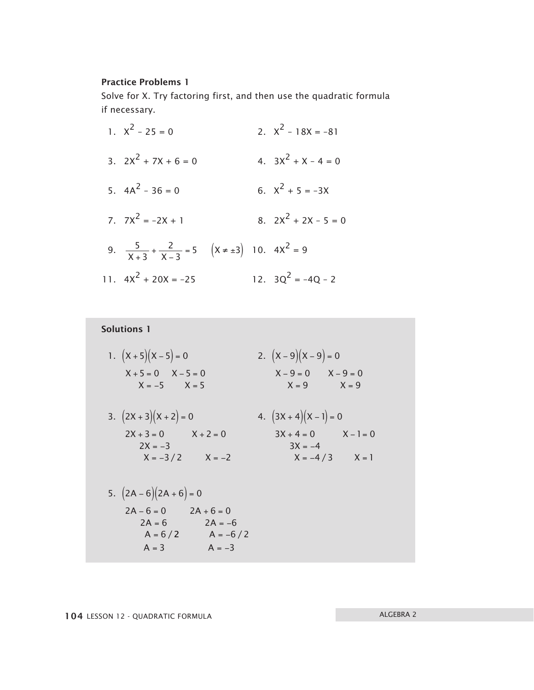#### Practice Problems 1

Solve for X. Try factoring first, and then use the quadratic formula if necessary.

1.  $X^2 - 25 = 0$ <br>2.  $X^2 - 18X = -81$ 3.  $2X^2 + 7X + 6 = 0$ <br>4.  $3X^2 + X - 4 = 0$ 5.  $4A^2 - 36 = 0$  6.  $X^2 + 5 = -3X$ 7.  $7X^2 = -2X + 1$  8.  $2X^2 + 2X - 5 = 0$ 9.  $\frac{5}{X+3}$ 2  $\frac{3}{X+3} + \frac{2}{X-3} = 5$   $(X \neq \pm 3)$  $\frac{5}{+3} + \frac{2}{x-3} = 5$   $(x \neq \pm 3)$  10.  $4x^2 = 9$ 11.  $4x^2 + 20x = -25$  12.  $3Q^2 = -4Q - 2$ 

Solutions 1 1.  $(X+5)(X-5) = 0$  2.  $(X-9)(X-9) = 0$  $X + 5 = 0$   $X - 5 = 0$   $X - 9 = 0$   $X - 9 = 0$  $X = -5$   $X = 5$  $X = 9$   $X = 9$ 3.  $(2X+3)(X+2) = 0$  4.  $(3X+4)(X-1) = 0$  $2X + 3 = 0$   $X + 2 = 0$   $3X + 4 = 0$   $X - 1 = 0$  $2X = -3$  $X = -3/2$   $X = -2$  $3X = -4$  $X = -4/3$   $X = 1$ X  $5. (2A - 6)(2A + 6) = 0$  $2A - 6 = 0$   $2A + 6 = 0$  $2A = 6$  2A = -6 6 /  $A = 6$  2A A  $= 6$  2A =  $A = 6/2$   $A = -6/2$ 3  $A = -3$ A  $A = 3$  A = −  $= 3$  A =  $-$ /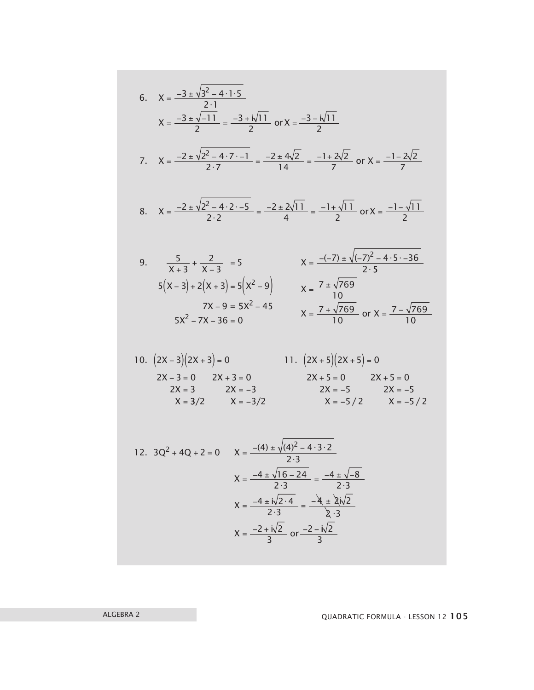6. 
$$
X = \frac{-3 \pm \sqrt{3^2 - 4 \cdot 15}}{2 \cdot 1}
$$
  
\n $X = \frac{-3 \pm \sqrt{-11}}{2} = \frac{-3 \pm \sqrt{11}}{2}$  or  $X = \frac{-3 - \sqrt{11}}{2}$   
\n7.  $X = \frac{-2 \pm \sqrt{2^2 - 4 \cdot 7 \cdot -1}}{2 \cdot 7} = \frac{-2 \pm 4\sqrt{2}}{14} = \frac{-1 + 2\sqrt{2}}{7}$  or  $X = \frac{-1 - 2\sqrt{2}}{7}$   
\n8.  $X = \frac{-2 \pm \sqrt{2^2 - 4 \cdot 2 \cdot -5}}{2 \cdot 2} = \frac{-2 \pm 2\sqrt{11}}{4} = \frac{-1 + \sqrt{11}}{2}$  or  $X = \frac{-1 - \sqrt{11}}{2}$   
\n9.  $\frac{5}{X + 3} + \frac{2}{X - 3} = 5$   
\n $5(X - 3) + 2(X + 3) = 5(X^2 - 9)$   
\n $7X - 9 = 5X^2 - 45$   
\n $5X^2 - 7X - 36 = 0$   
\n10.  $(2X - 3)(2X + 3) = 0$   
\n $2X - 3 = 0$   
\n $2X + 3 = 0$   
\n $2X - 3 = 0$   
\n $2X + 3 = 0$   
\n $2X - 3 = 0$   
\n $2X + 3 = 0$   
\n $2X - 3 = 0$   
\n $2X + 3 = 0$   
\n $2X - 3 = 2X - 3$   
\n $X = \frac{-(4) \pm \sqrt{(4)^2 - 4 \cdot 3 \cdot 2}}{2 \cdot 3}$   
\n $X = \frac{-4 \pm \sqrt{16 - 24}}{2 \cdot 3} = \frac{-4 \pm \sqrt{-8}}{2 \cdot 3}$   
\n $X = \frac{-4 \pm \sqrt{16 - 24}}{2 \cdot 3} = \frac{-4 \pm \sqrt{-8}}{2 \cdot 3}$   
\n $X = \frac{-4 \pm \sqrt{12}}{2 \cdot 3}$   
\n<

ALGEBRA 2 QUADRATIC FORMULA - LESSON 12 105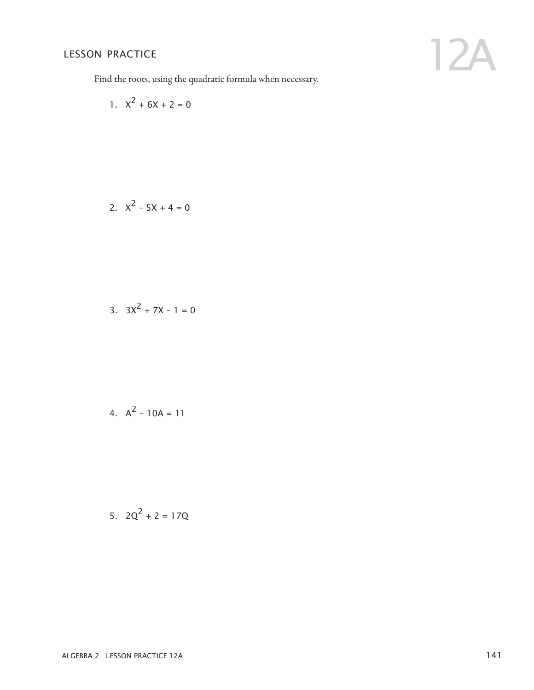Find the roots, using the quadratic formula when necessary.

1. 
$$
X^2 + 6X + 2 = 0
$$

2. 
$$
X^2 - 5X + 4 = 0
$$

3. 
$$
3X^2 + 7X - 1 = 0
$$

4. 
$$
A^2 - 10A = 11
$$

5. 
$$
2Q^2 + 2 = 17Q
$$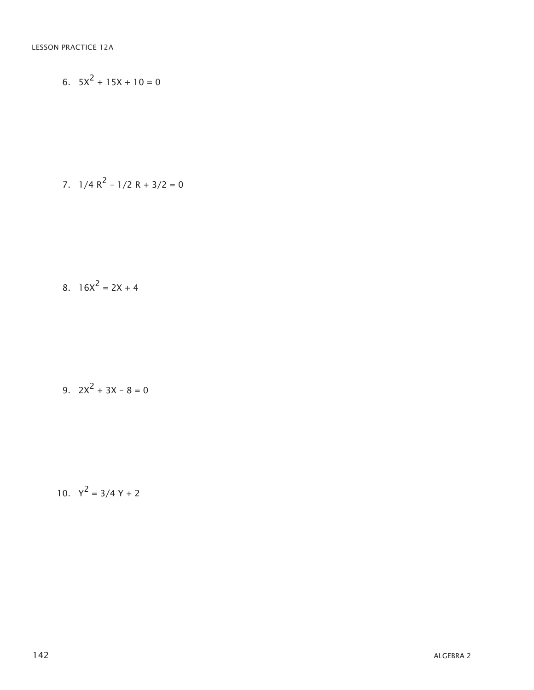$$
6. \quad 5X^2 + 15X + 10 = 0
$$

7. 
$$
1/4 R^2 - 1/2 R + 3/2 = 0
$$

$$
8. \quad 16X^2 = 2X + 4
$$

9. 
$$
2X^2 + 3X - 8 = 0
$$

10. 
$$
Y^2 = 3/4 Y + 2
$$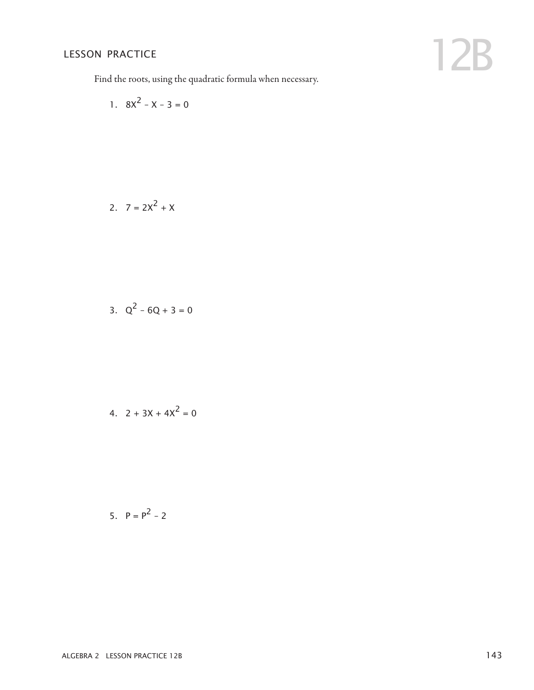Find the roots, using the quadratic formula when necessary.

1. 
$$
8x^2 - x - 3 = 0
$$

2. 
$$
7 = 2X^2 + X
$$

3. 
$$
Q^2 - 6Q + 3 = 0
$$

4. 
$$
2 + 3X + 4X^2 = 0
$$

5. 
$$
P = P^2 - 2
$$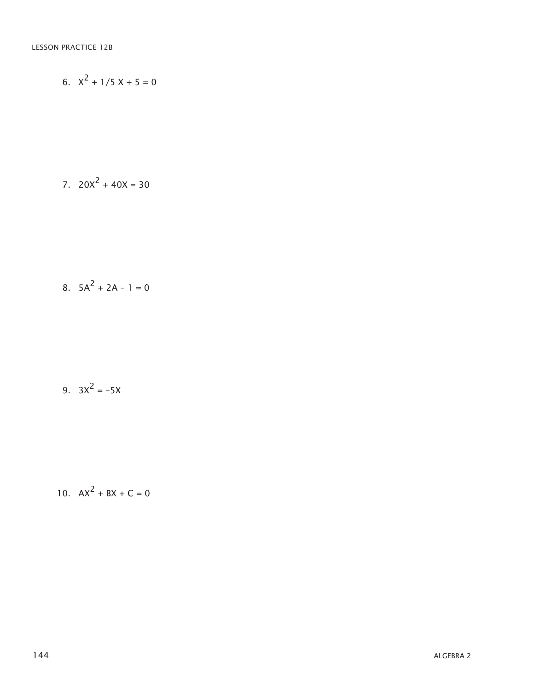6. 
$$
X^2 + 1/5X + 5 = 0
$$

$$
7. \quad 20X^2 + 40X = 30
$$

$$
8. \quad 5A^2 + 2A - 1 = 0
$$

### 9.  $3x^2 = -5x$

### 10.  $AX^2 + BX + C = 0$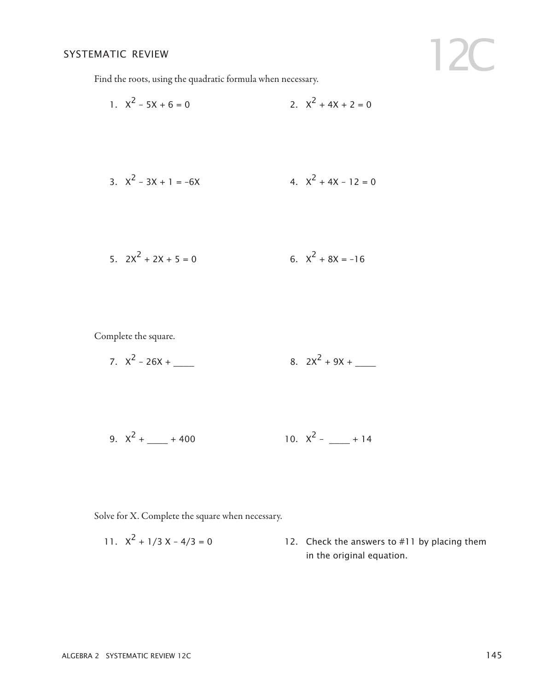12C

Find the roots, using the quadratic formula when necessary.

1. 
$$
x^2 - 5x + 6 = 0
$$
  
2.  $x^2 + 4x + 2 = 0$   
3.  $x^2 - 3x + 1 = -6x$   
4.  $x^2 + 4x - 12 = 0$ 

5. 
$$
2X^2 + 2X + 5 = 0
$$
 6.  $X^2 + 8X = -16$ 

Complete the square.

7. 
$$
X^2 - 26X +
$$
 8.  $2X^2 + 9X +$ 

9. 
$$
X^2 + \underline{\hspace{1cm}} + 400
$$
 10.  $X^2 - \underline{\hspace{1cm}} + 14$ 

Solve for X. Complete the square when necessary.

11. 
$$
x^2 + \frac{1}{3}x - \frac{4}{3} = 0
$$
 12. Check the answers to #11 by placing them in the original equation.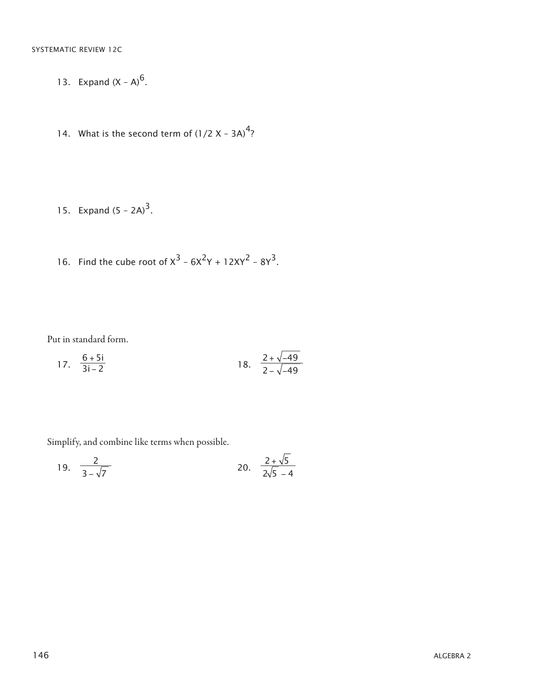- 13. Expand  $(X A)^6$ .
- 14. What is the second term of  $(1/2 X 3A)^4$ ?
- 15. Expand  $(5 2A)^3$ .
- 16. Find the cube root of  $x^3 6x^2y + 12xy^2 8y^3$ .

Put in standard form.

17. 
$$
\frac{6+5i}{3i-2}
$$
 18.  $\frac{2+\sqrt{-49}}{2-\sqrt{-49}}$ 

Simplify, and combine like terms when possible.

19. 
$$
\frac{2}{3-\sqrt{7}}
$$
 20.  $\frac{2+\sqrt{5}}{2\sqrt{5}-4}$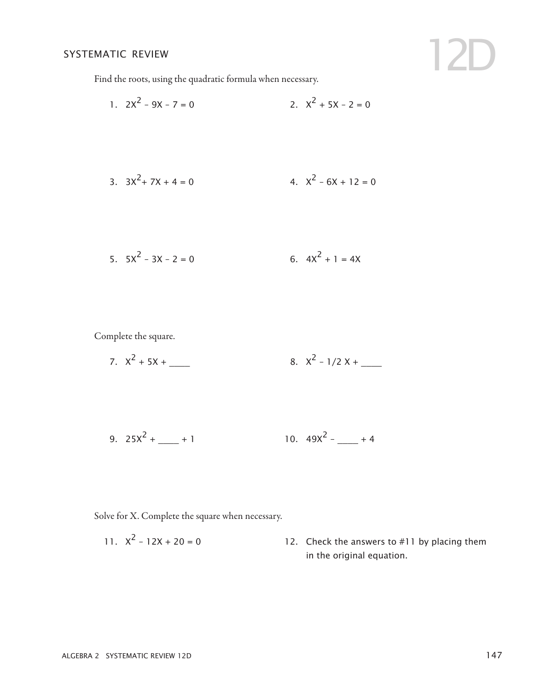12D

Find the roots, using the quadratic formula when necessary.

1. 
$$
2x^2 - 9x - 7 = 0
$$
  
2.  $x^2 + 5x - 2 = 0$   
3.  $3x^2 + 7x + 4 = 0$   
4.  $x^2 - 6x + 12 = 0$ 

5. 
$$
5x^2 - 3x - 2 = 0
$$
 6.  $4x^2 + 1 = 4x$ 

Complete the square.

7. 
$$
X^2 + 5X +
$$
 \_\_\_\_\_\_ 8.  $X^2 - 1/2X +$  \_\_\_\_\_\_

9. 
$$
25X^2 + \underline{\hspace{1cm}} + 1
$$
 10.  $49X^2 - \underline{\hspace{1cm}} + 4$ 

Solve for X. Complete the square when necessary.

11.  $X^2 - 12X + 20 = 0$  12. Check the answers to #11 by placing them in the original equation.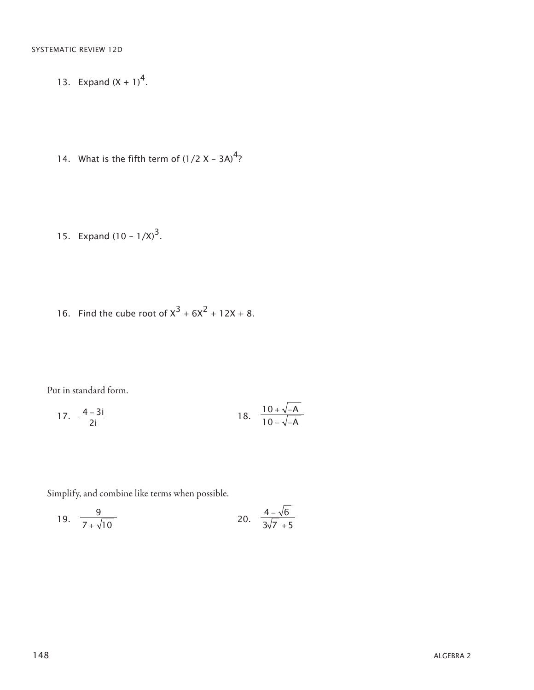- 13. Expand  $(X + 1)^4$ .
- 14. What is the fifth term of  $(1/2 X 3A)^4$ ?
- 15. Expand  $(10 1/X)^3$ .
- 16. Find the cube root of  $x^3 + 6x^2 + 12x + 8$ .

Put in standard form.

17. 
$$
\frac{4-3i}{2i}
$$
 18.  $\frac{10+\sqrt{-A}}{10-\sqrt{-A}}$ 

Simplify, and combine like terms when possible.

19. 
$$
\frac{9}{7+\sqrt{10}}
$$
 20.  $\frac{4-\sqrt{6}}{3\sqrt{7}+5}$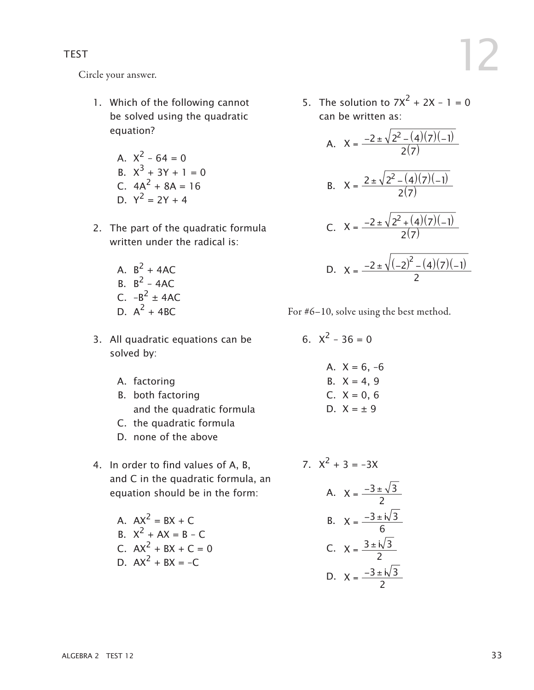Circle your answer.

- 1. Which of the following cannot be solved using the quadratic equation?
	- A.  $X^2 64 = 0$ B.  $X^3 + 3Y + 1 = 0$ C.  $4A^2 + 8A = 16$
	- D.  $Y^2 = 2Y + 4$
- 2. The part of the quadratic formula written under the radical is:
	- A.  $B^2 + 4AC$ B.  $B^2 - 4AC$ C.  $-B^2 \pm 4AC$ D.  $A^2$  + 4BC.
- 3. All quadratic equations can be solved by:
	- A. factoring
	- B. both factoring and the quadratic formula
	- C. the quadratic formula
	- D. none of the above
- 4. In order to find values of A, B, and C in the quadratic formula, an equation should be in the form:
	- A  $AX^2 = BX + C$ B.  $X^2 + AX = B - C$ C.  $AX^2 + BX + C = 0$ D.  $AX^2 + BX = -C$

5. The solution to  $7X^2 + 2X - 1 = 0$ can be written as:

A. 
$$
X = \frac{-2 \pm \sqrt{2^2 - (4)(7)(-1)}}{2(7)}
$$
  
\nB.  $X = \frac{2 \pm \sqrt{2^2 - (4)(7)(-1)}}{2(7)}$   
\nC.  $X = \frac{-2 \pm \sqrt{2^2 + (4)(7)(-1)}}{2(7)}$   
\nD.  $X = \frac{-2 \pm \sqrt{(-2)^2 - (4)(7)(-1)}}{2}$ 

- For #6–10, solve using the best method.
	- 6.  $X^2 36 = 0$ A.  $X = 6, -6$ B.  $X = 4, 9$ C.  $X = 0.6$  $D$   $X = +9$
	- 7.  $X^2 + 3 = -3X$ A.  $X = \frac{-3 \pm \sqrt{3}}{2}$ B.  $X = \frac{-3 \pm i \sqrt{3}}{6}$ C.  $X = \frac{3 \pm i \sqrt{3}}{2}$ D.  $X = \frac{-3 \pm i \sqrt{3}}{2}$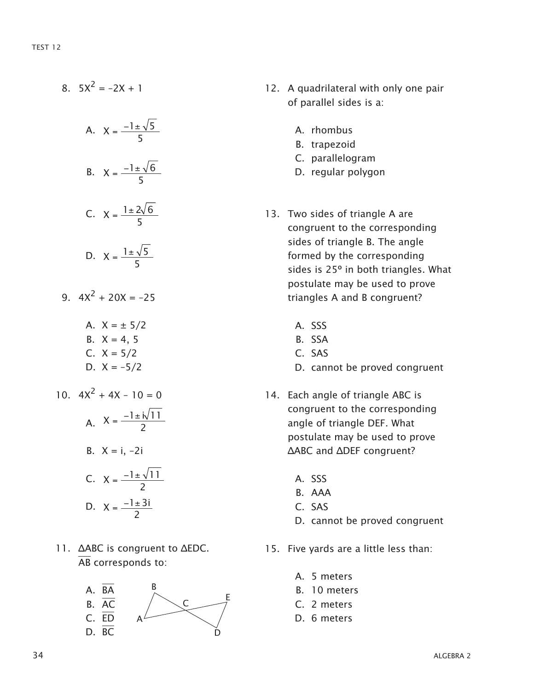- $8.5x^2 = -2x + 1$ A.  $X = \frac{-1 \pm \sqrt{5}}{5}$ B.  $X = \frac{-1 \pm \sqrt{6}}{5}$ C.  $X = \frac{1 \pm 2\sqrt{6}}{5}$ D.  $X = \frac{1 \pm \sqrt{5}}{5}$ 9  $4x^2 + 20x = -25$ A.  $X = \pm 5/2$ B.  $X = 4, 5$ C.  $X = 5/2$ D.  $X = -5/2$ 10.  $4X^2 + 4X - 10 = 0$ A.  $X = \frac{-1 \pm i \sqrt{11}}{2}$ B.  $X = i, -2i$ C.  $X = \frac{-1 \pm \sqrt{11}}{2}$ D.  $X = \frac{-1 \pm 3i}{2}$
- 11. ΔABC is congruent to ΔEDC. AB corresponds to:



- 12. A quadrilateral with only one pair of parallel sides is a:
	- A. rhombus
	- B. trapezoid
	- C. parallelogram
	- D. regular polygon
- 13. Two sides of triangle A are congruent to the corresponding sides of triangle B. The angle formed by the corresponding sides is 25° in both triangles. What postulate may be used to prove triangles A and B congruent?
	- A. SSS
	- B. SSA
	- C. SAS
	- D. cannot be proved congruent
- 14. Each angle of triangle ABC is congruent to the corresponding angle of triangle DEF. What postulate may be used to prove ΔABC and ΔDEF congruent?
	- A. SSS
	- B. AAA
	- C. SAS
	- D. cannot be proved congruent
- 15. Five yards are a little less than:
	- A. 5 meters
	- B. 10 meters
	- C. 2 meters
	- D. 6 meters